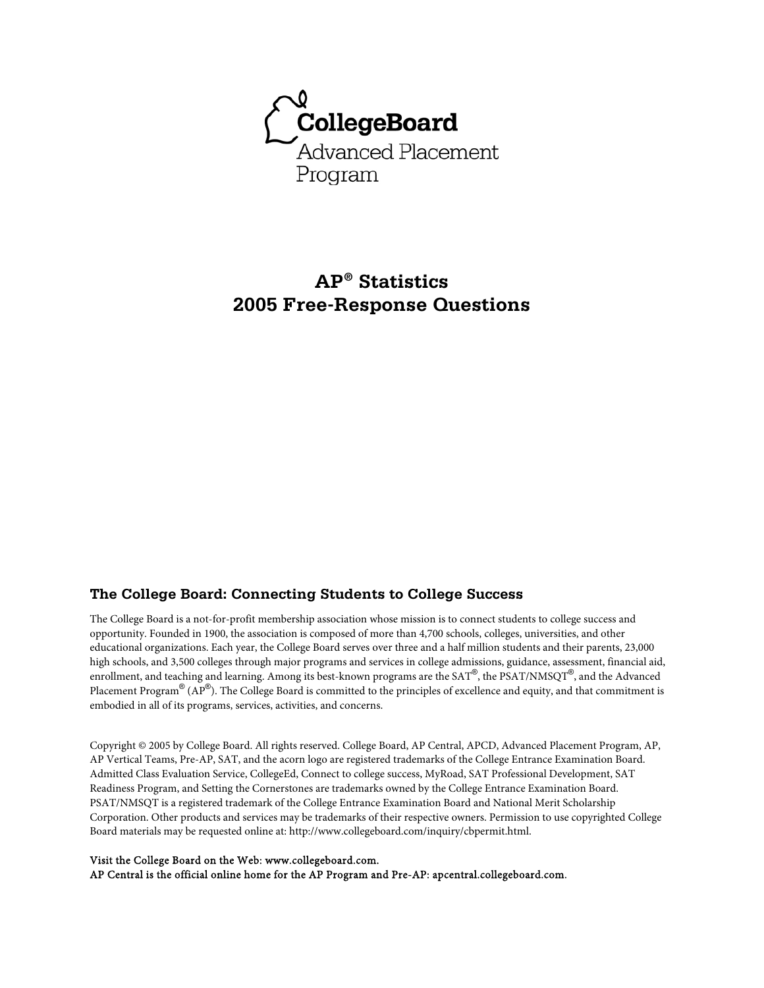

# **AP® Statistics 2005 Free-Response Questions**

### **The College Board: Connecting Students to College Success**

The College Board is a not-for-profit membership association whose mission is to connect students to college success and opportunity. Founded in 1900, the association is composed of more than 4,700 schools, colleges, universities, and other educational organizations. Each year, the College Board serves over three and a half million students and their parents, 23,000 high schools, and 3,500 colleges through major programs and services in college admissions, guidance, assessment, financial aid, enrollment, and teaching and learning. Among its best-known programs are the SAT®, the PSAT/NMSQT®, and the Advanced Placement Program $^\circledR$  (AP $^\circledR$ ). The College Board is committed to the principles of excellence and equity, and that commitment is embodied in all of its programs, services, activities, and concerns.

Copyright © 2005 by College Board. All rights reserved. College Board, AP Central, APCD, Advanced Placement Program, AP, AP Vertical Teams, Pre-AP, SAT, and the acorn logo are registered trademarks of the College Entrance Examination Board. Admitted Class Evaluation Service, CollegeEd, Connect to college success, MyRoad, SAT Professional Development, SAT Readiness Program, and Setting the Cornerstones are trademarks owned by the College Entrance Examination Board. PSAT/NMSQT is a registered trademark of the College Entrance Examination Board and National Merit Scholarship Corporation. Other products and services may be trademarks of their respective owners. Permission to use copyrighted College Board materials may be requested online at: http://www.collegeboard.com/inquiry/cbpermit.html.

#### Visit the College Board on the Web: www.collegeboard.com.

AP Central is the official online home for the AP Program and Pre-AP: apcentral.collegeboard.com.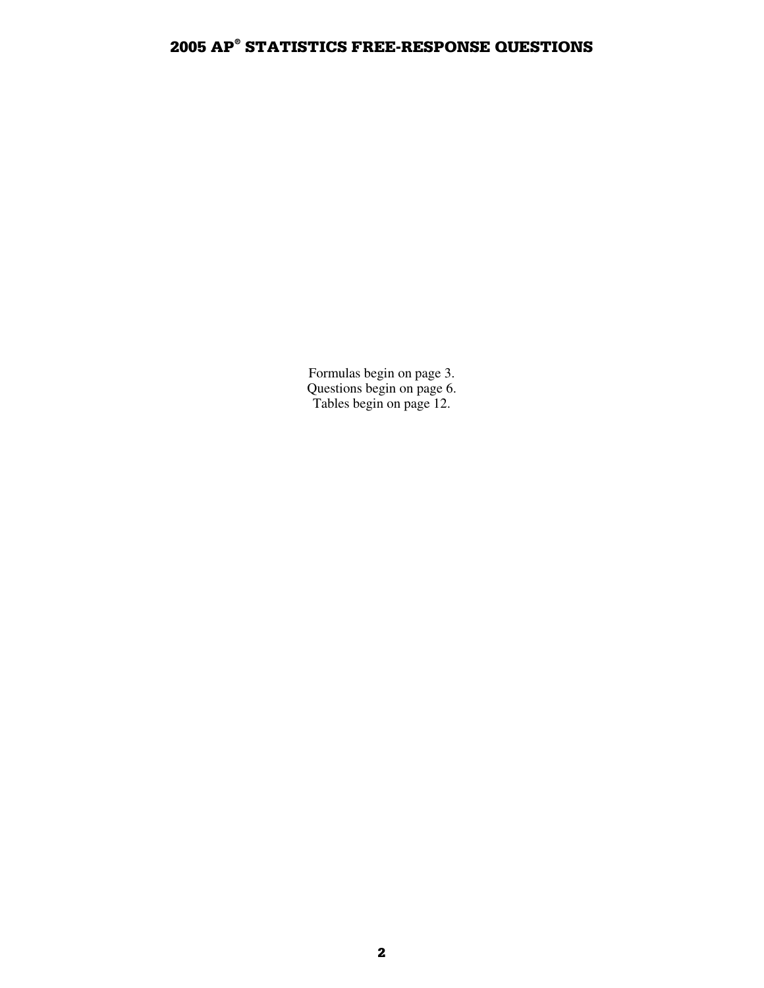Formulas begin on page 3. Questions begin on page 6. Tables begin on page 12.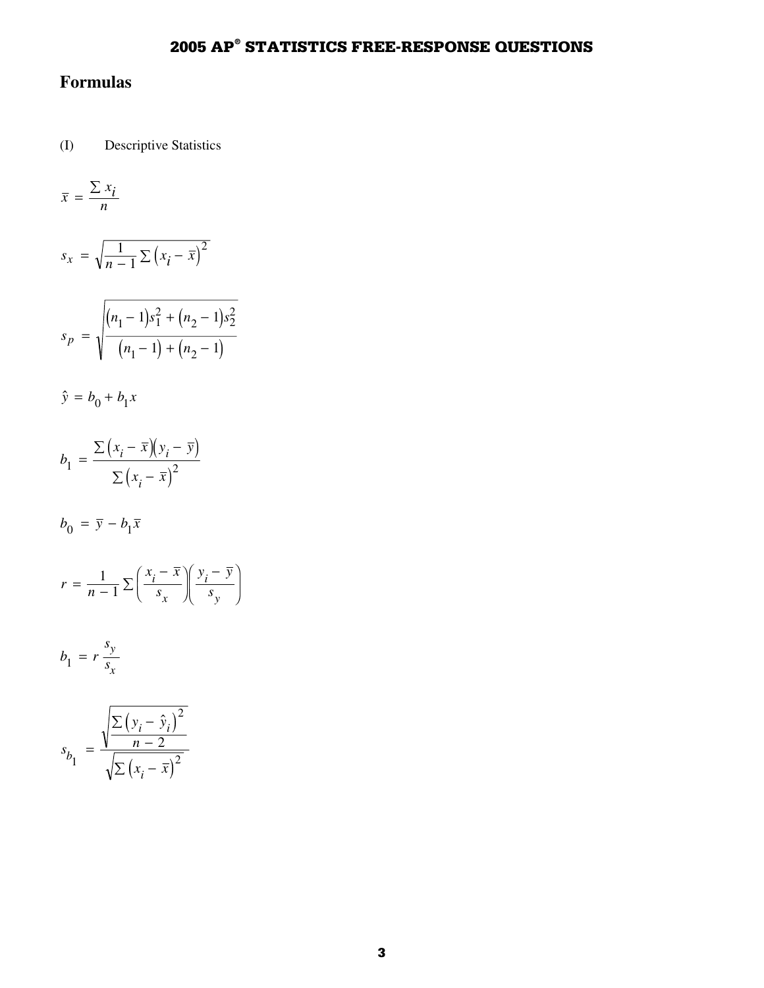# **Formulas**

(I) Descriptive Statistics

$$
\bar{x} = \frac{\sum x_i}{n}
$$

$$
s_x = \sqrt{\frac{1}{n-1} \sum (x_i - \overline{x})^2}
$$

$$
s_p = \sqrt{\frac{(n_1 - 1)s_1^2 + (n_2 - 1)s_2^2}{(n_1 - 1) + (n_2 - 1)}}
$$

$$
\hat{y} = b_0 + b_1 x
$$

$$
\hat{y} = b_0 + b_1 x
$$
\n
$$
b_1 = \frac{\sum (x_i - \bar{x})(y_i - \bar{y})}{\sum (x_i - \bar{x})^2}
$$

$$
b_0 = \overline{y} - b_1 \overline{x}
$$

$$
r = \frac{1}{n-1} \sum \left( \frac{x_i - \overline{x}}{s_x} \right) \left( \frac{y_i - \overline{y}}{s_y} \right)
$$

$$
b_1 = r \frac{s_y}{s_x}
$$

$$
s_{b_1} = \frac{\sqrt{\frac{\sum (y_i - \hat{y}_i)^2}{n - 2}}}{\sqrt{\sum (x_i - \bar{x})^2}}
$$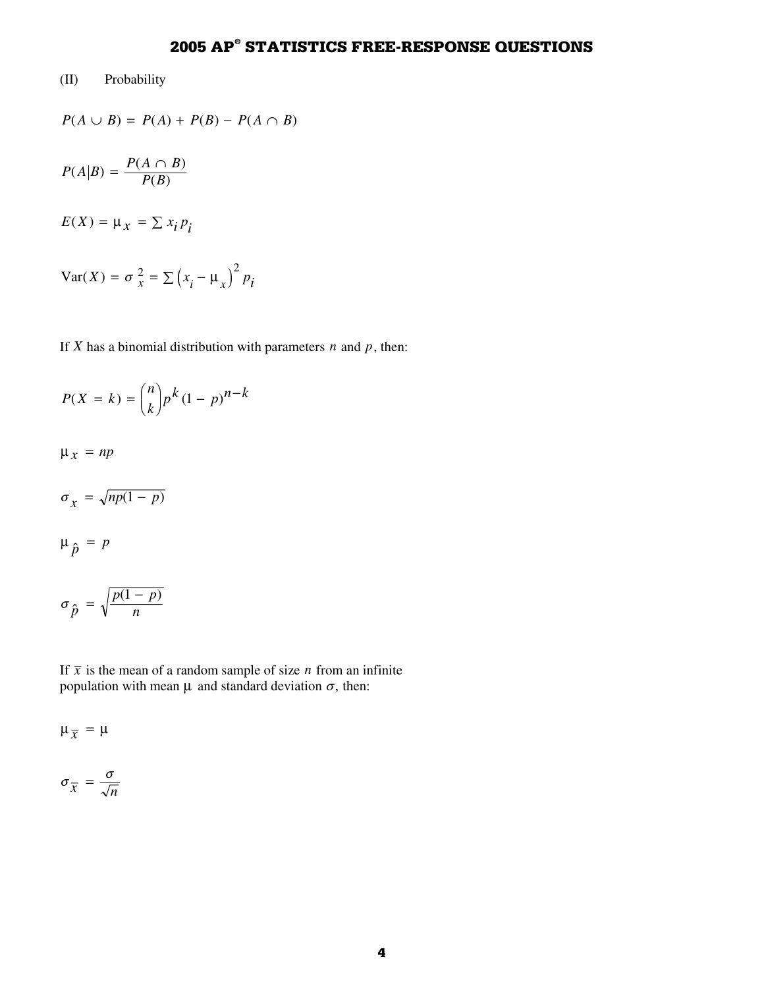## (II) Probability

$$
P(A \cup B) = P(A) + P(B) - P(A \cap B)
$$

$$
P(A|B) = \frac{P(A \cap B)}{P(B)}
$$

$$
E(X) = \mu_X = \sum x_i p_i
$$

$$
Var(X) = \sigma_x^2 = \sum (x_i - \mu_x)^2 p_i
$$

If *X* has a binomial distribution with parameters  $n$  and  $p$ , then:

$$
P(X = k) = {n \choose k} p^k (1-p)^{n-k}
$$

 $\mu_x$  =  $np$ 

$$
\sigma_{\chi} = \sqrt{np(1-p)}
$$

$$
\mu_{\hat{p}} = I
$$

$$
\mu_{\hat{p}} = p
$$
  

$$
\sigma_{\hat{p}} = \sqrt{\frac{p(1-p)}{n}}
$$

 $\frac{1}{1}$ If  $\bar{x}$  is the mean of a random sample of size *n* from an infinite population with mean  $\mu$  and standard deviation  $\sigma$ , then:

 $\mu_{\overline{x}} = \mu$ 

$$
\sigma_{\overline{x}} = \frac{\sigma}{\sqrt{n}}
$$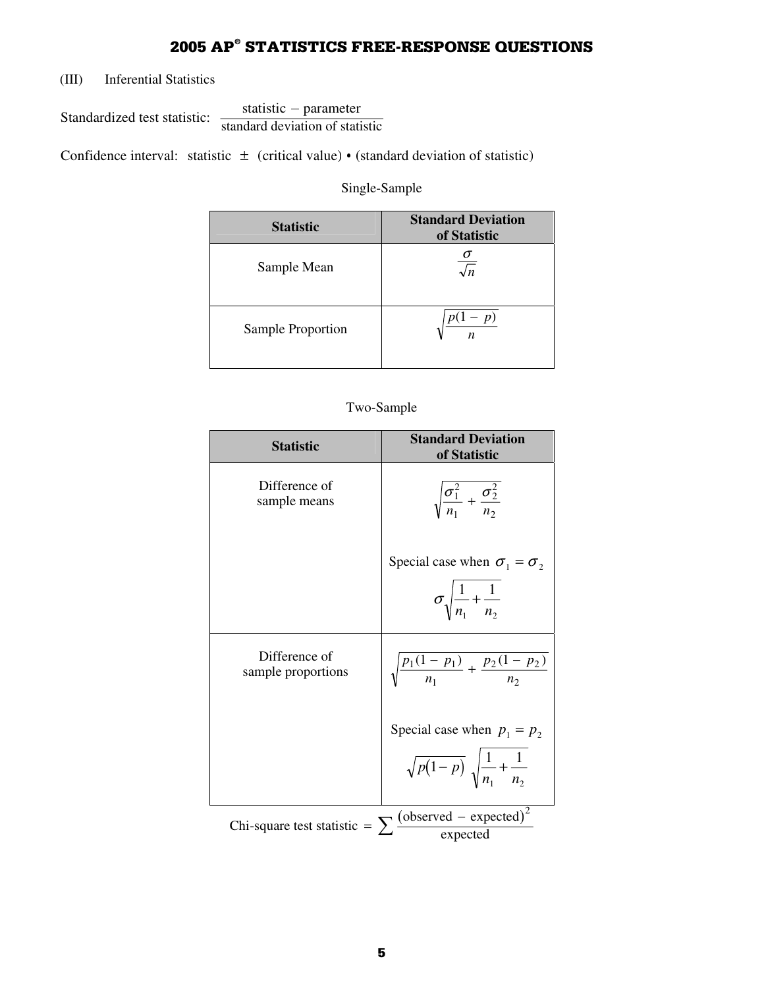(III) Inferential Statistics

Standardized test statistic:  $\frac{\text{statistic - parameter}}{\text{standard deviation of statistic}}$  $\frac{1}{2}$ 

Confidence interval: statistic  $\pm$  (critical value) • (standard deviation of statistic)

### Single-Sample

| <b>Statistic</b>  | <b>Standard Deviation</b><br>of Statistic |
|-------------------|-------------------------------------------|
| Sample Mean       | $\sqrt{n}$                                |
| Sample Proportion | p)<br>$\boldsymbol{n}$                    |

## Two-Sample

| <b>Statistic</b>                    | <b>Standard Deviation</b><br>of Statistic                                                                     |
|-------------------------------------|---------------------------------------------------------------------------------------------------------------|
| Difference of<br>sample means       | $\sqrt{\frac{\sigma_1^2}{n_1} + \frac{\sigma_2^2}{n_2}}$                                                      |
|                                     |                                                                                                               |
|                                     | Special case when $\sigma_1 = \sigma_2$                                                                       |
|                                     | $\sigma \sqrt{\frac{1}{n_1} + \frac{1}{n_2}}$                                                                 |
| Difference of<br>sample proportions | $\sqrt{\frac{p_1(1-p_1)}{n_1} + \frac{p_2(1-p_2)}{n_2}}$                                                      |
|                                     | Special case when $p_1 = p_2$                                                                                 |
|                                     | $\sqrt{p\big(1-p\big)}\,\,\sqrt{\frac{1}{n_{\scriptscriptstyle 1}}\!+\!\frac{1}{n_{\scriptscriptstyle 2}}}\,$ |
|                                     | Chi-square test statistic = $\sum \frac{\text{(observed - expected)}^2}{\text{expected}}$                     |
|                                     |                                                                                                               |
|                                     |                                                                                                               |
|                                     | 5                                                                                                             |
|                                     |                                                                                                               |
|                                     |                                                                                                               |
|                                     |                                                                                                               |
|                                     |                                                                                                               |
|                                     |                                                                                                               |
|                                     |                                                                                                               |
|                                     |                                                                                                               |
|                                     |                                                                                                               |
|                                     |                                                                                                               |
|                                     |                                                                                                               |
|                                     |                                                                                                               |
|                                     |                                                                                                               |
|                                     |                                                                                                               |
|                                     |                                                                                                               |
|                                     |                                                                                                               |
|                                     |                                                                                                               |
|                                     |                                                                                                               |
|                                     |                                                                                                               |
|                                     |                                                                                                               |
|                                     |                                                                                                               |
|                                     |                                                                                                               |
|                                     |                                                                                                               |
|                                     |                                                                                                               |
|                                     |                                                                                                               |
|                                     |                                                                                                               |
|                                     |                                                                                                               |
|                                     |                                                                                                               |
|                                     |                                                                                                               |
|                                     |                                                                                                               |
|                                     |                                                                                                               |
|                                     |                                                                                                               |
|                                     |                                                                                                               |
|                                     |                                                                                                               |
|                                     |                                                                                                               |
|                                     |                                                                                                               |
|                                     |                                                                                                               |
|                                     |                                                                                                               |
|                                     |                                                                                                               |
|                                     |                                                                                                               |
|                                     |                                                                                                               |
|                                     |                                                                                                               |
|                                     |                                                                                                               |
|                                     |                                                                                                               |
|                                     |                                                                                                               |
|                                     |                                                                                                               |
|                                     |                                                                                                               |
|                                     |                                                                                                               |
|                                     |                                                                                                               |
|                                     |                                                                                                               |
|                                     |                                                                                                               |
|                                     |                                                                                                               |
|                                     |                                                                                                               |
|                                     |                                                                                                               |
|                                     |                                                                                                               |
|                                     |                                                                                                               |
|                                     |                                                                                                               |
|                                     |                                                                                                               |
|                                     |                                                                                                               |
|                                     |                                                                                                               |
|                                     |                                                                                                               |
|                                     |                                                                                                               |
|                                     |                                                                                                               |
|                                     |                                                                                                               |
|                                     |                                                                                                               |
|                                     |                                                                                                               |
|                                     |                                                                                                               |
|                                     |                                                                                                               |
|                                     |                                                                                                               |
|                                     |                                                                                                               |
|                                     |                                                                                                               |
|                                     |                                                                                                               |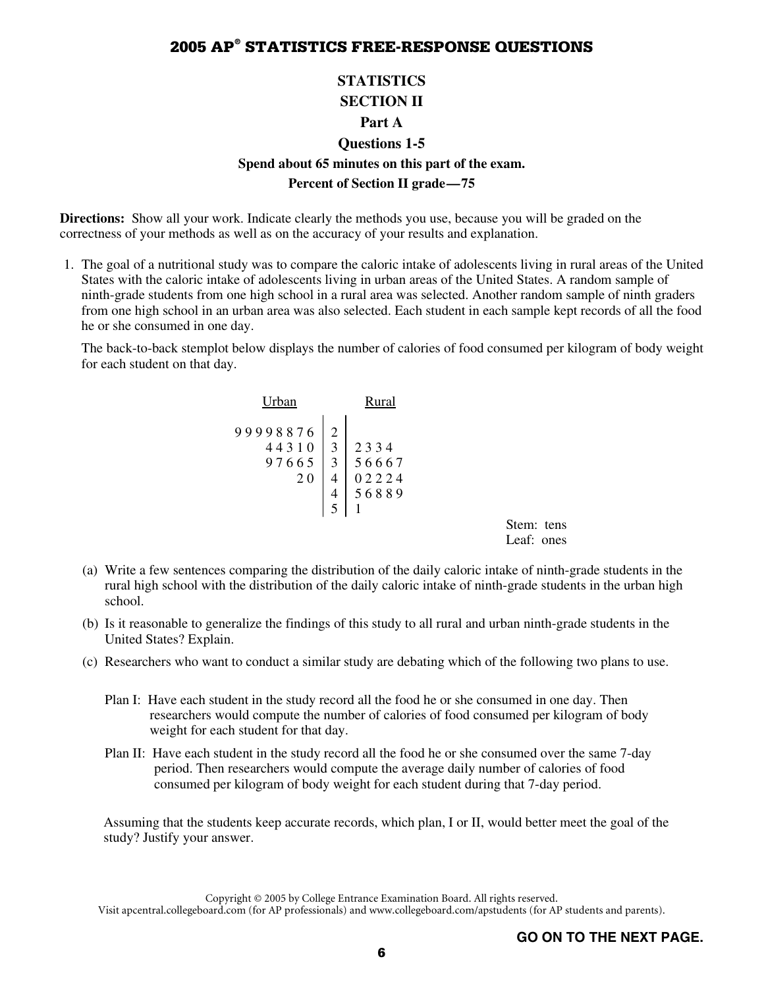### **STATISTICS SECTION II**

#### **Part A**

# **Questions 1-5 Spend about 65 minutes on this part of the exam. Percent of Section II grade—75**

**Directions:** Show all your work. Indicate clearly the methods you use, because you will be graded on the correctness of your methods as well as on the accuracy of your results and explanation.

 1. The goal of a nutritional study was to compare the caloric intake of adolescents living in rural areas of the United States with the caloric intake of adolescents living in urban areas of the United States. A random sample of ninth-grade students from one high school in a rural area was selected. Another random sample of ninth graders from one high school in an urban area was also selected. Each student in each sample kept records of all the food he or she consumed in one day.

 The back-to-back stemplot below displays the number of calories of food consumed per kilogram of body weight for each student on that day.

| <b>Urban</b>                            |                     | Rural                  |                          |  |
|-----------------------------------------|---------------------|------------------------|--------------------------|--|
| 99998876<br>44310<br>97665<br><b>20</b> | 2<br>3<br>3<br>4    | 2334<br>56667<br>02224 |                          |  |
|                                         | $\overline{4}$<br>5 | 56889                  |                          |  |
|                                         |                     |                        | Stem: tens<br>Leaf: ones |  |

- (a) Write a few sentences comparing the distribution of the daily caloric intake of ninth-grade students in the rural high school with the distribution of the daily caloric intake of ninth-grade students in the urban high school.
- (b) Is it reasonable to generalize the findings of this study to all rural and urban ninth-grade students in the United States? Explain.
- (c) Researchers who want to conduct a similar study are debating which of the following two plans to use.
	- Plan I: Have each student in the study record all the food he or she consumed in one day. Then researchers would compute the number of calories of food consumed per kilogram of body weight for each student for that day.
	- Plan II: Have each student in the study record all the food he or she consumed over the same 7-day period. Then researchers would compute the average daily number of calories of food consumed per kilogram of body weight for each student during that 7-day period.

 Assuming that the students keep accurate records, which plan, I or II, would better meet the goal of the study? Justify your answer.

Copyright © 2005 by College Entrance Examination Board. All rights reserved. Visit apcentral.collegeboard.com (for AP professionals) and www.collegeboard.com/apstudents (for AP students and parents).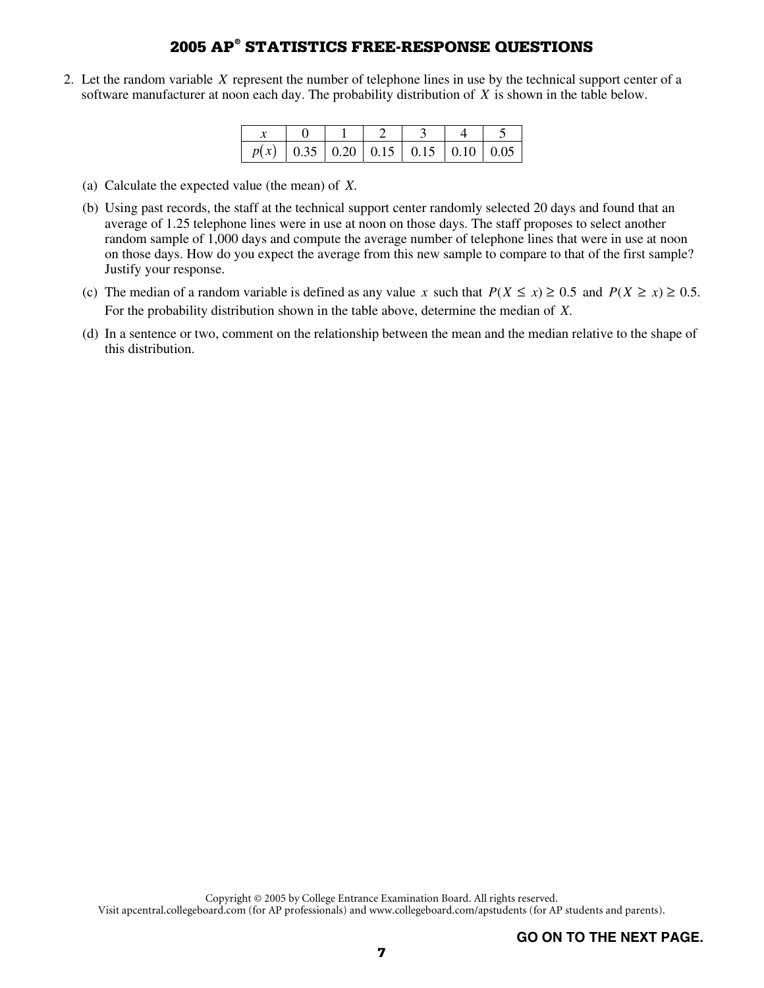2. Let the random variable *X* represent the number of telephone lines in use by the technical support center of a software manufacturer at noon each day. The probability distribution of *X* is shown in the table below.

| $\mid p(x) \mid 0.35 \mid 0.20 \mid 0.15 \mid 0.15 \mid 0.10 \mid 0.05$ |  |  |  |
|-------------------------------------------------------------------------|--|--|--|

- (a) Calculate the expected value (the mean) of *X*.
- (b) Using past records, the staff at the technical support center randomly selected 20 days and found that an average of 1.25 telephone lines were in use at noon on those days. The staff proposes to select another random sample of 1,000 days and compute the average number of telephone lines that were in use at noon on those days. How do you expect the average from this new sample to compare to that of the first sample? Justify your response.
- (c) The median of a random variable is defined as any value *x* such that  $P(X \le x) \ge 0.5$  and  $P(X \ge x) \ge 0.5$ . For the probability distribution shown in the table above, determine the median of *X*.
- (d) In a sentence or two, comment on the relationship between the mean and the median relative to the shape of this distribution.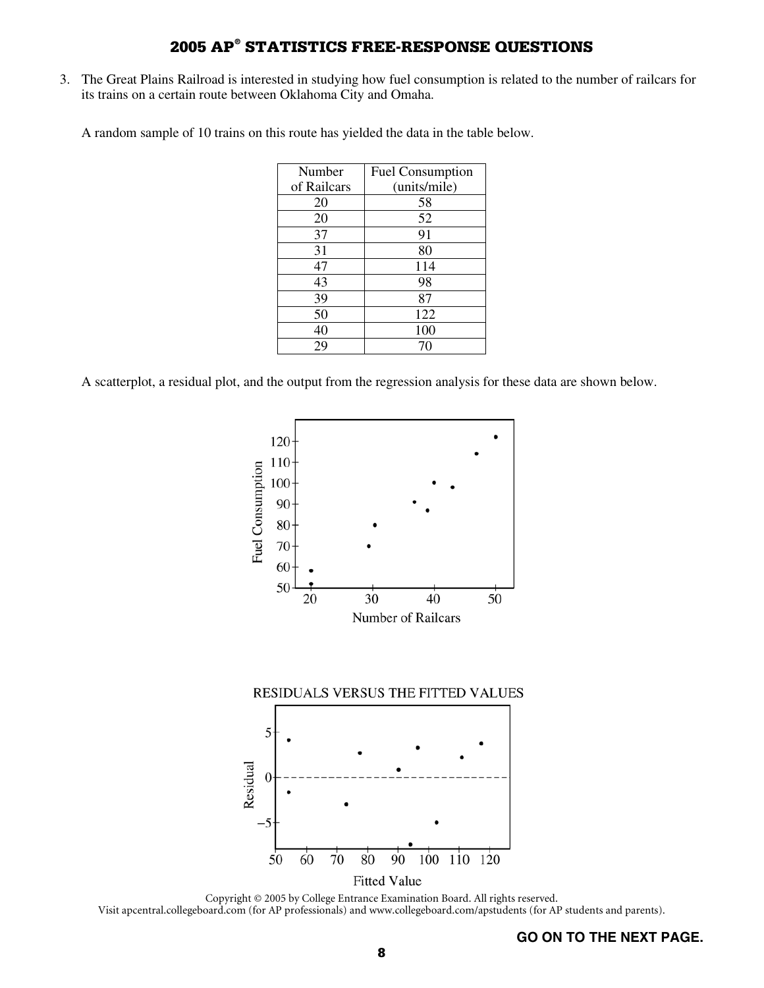3. The Great Plains Railroad is interested in studying how fuel consumption is related to the number of railcars for its trains on a certain route between Oklahoma City and Omaha.

A random sample of 10 trains on this route has yielded the data in the table below.

| Number      | <b>Fuel Consumption</b> |
|-------------|-------------------------|
| of Railcars | (units/mile)            |
| 20          | 58                      |
| 20          | 52                      |
| 37          | 91                      |
| 31          | 80                      |
| 47          | 114                     |
| 43          | 98                      |
| 39          | 87                      |
| 50          | 122                     |
| 40          | 100                     |
| 29          | 70                      |

A scatterplot, a residual plot, and the output from the regression analysis for these data are shown below.



Copyright © 2005 by College Entrance Examination Board. All rights reserved. Visit apcentral.collegeboard.com (for AP professionals) and www.collegeboard.com/apstudents (for AP students and parents).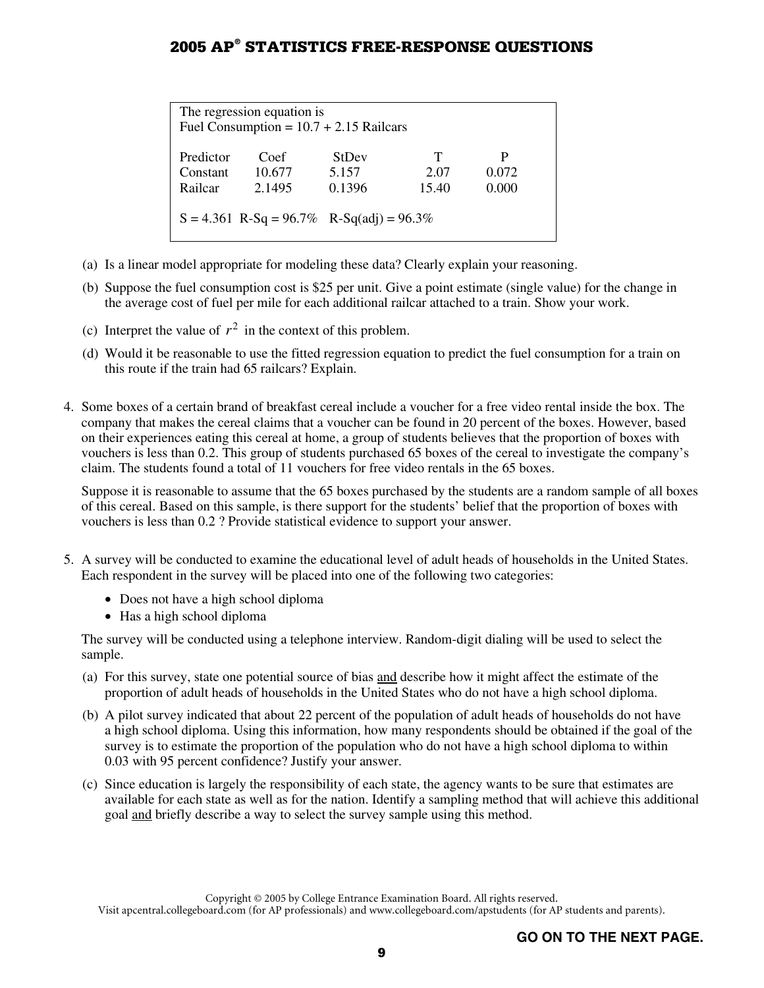| The regression equation is<br>Fuel Consumption = $10.7 + 2.15$ Railcars                                                                      |  |  |  |  |  |  |  |  |  |  |
|----------------------------------------------------------------------------------------------------------------------------------------------|--|--|--|--|--|--|--|--|--|--|
| Т<br>P<br>Predictor<br>Coef<br><b>StDev</b><br>10.677<br>5.157<br>0.072<br>2.07<br>Constant<br>0.1396<br>0.000<br>2.1495<br>15.40<br>Railcar |  |  |  |  |  |  |  |  |  |  |
| $S = 4.361$ R-Sq = 96.7% R-Sq(adj) = 96.3%                                                                                                   |  |  |  |  |  |  |  |  |  |  |

- (a) Is a linear model appropriate for modeling these data? Clearly explain your reasoning.
- (b) Suppose the fuel consumption cost is \$25 per unit. Give a point estimate (single value) for the change in the average cost of fuel per mile for each additional railcar attached to a train. Show your work.
- (c) Interpret the value of  $r^2$  in the context of this problem.
- (d) Would it be reasonable to use the fitted regression equation to predict the fuel consumption for a train on this route if the train had 65 railcars? Explain.
- 4. Some boxes of a certain brand of breakfast cereal include a voucher for a free video rental inside the box. The company that makes the cereal claims that a voucher can be found in 20 percent of the boxes. However, based on their experiences eating this cereal at home, a group of students believes that the proportion of boxes with vouchers is less than 0.2. This group of students purchased 65 boxes of the cereal to investigate the company's claim. The students found a total of 11 vouchers for free video rentals in the 65 boxes.

 Suppose it is reasonable to assume that the 65 boxes purchased by the students are a random sample of all boxes of this cereal. Based on this sample, is there support for the students' belief that the proportion of boxes with vouchers is less than 0.2 ? Provide statistical evidence to support your answer.

- 5. A survey will be conducted to examine the educational level of adult heads of households in the United States. Each respondent in the survey will be placed into one of the following two categories:
	- Does not have a high school diploma
	- Has a high school diploma

 The survey will be conducted using a telephone interview. Random-digit dialing will be used to select the sample.

- (a) For this survey, state one potential source of bias and describe how it might affect the estimate of the proportion of adult heads of households in the United States who do not have a high school diploma.
- (b) A pilot survey indicated that about 22 percent of the population of adult heads of households do not have a high school diploma. Using this information, how many respondents should be obtained if the goal of the survey is to estimate the proportion of the population who do not have a high school diploma to within 0.03 with 95 percent confidence? Justify your answer.
- (c) Since education is largely the responsibility of each state, the agency wants to be sure that estimates are available for each state as well as for the nation. Identify a sampling method that will achieve this additional goal and briefly describe a way to select the survey sample using this method.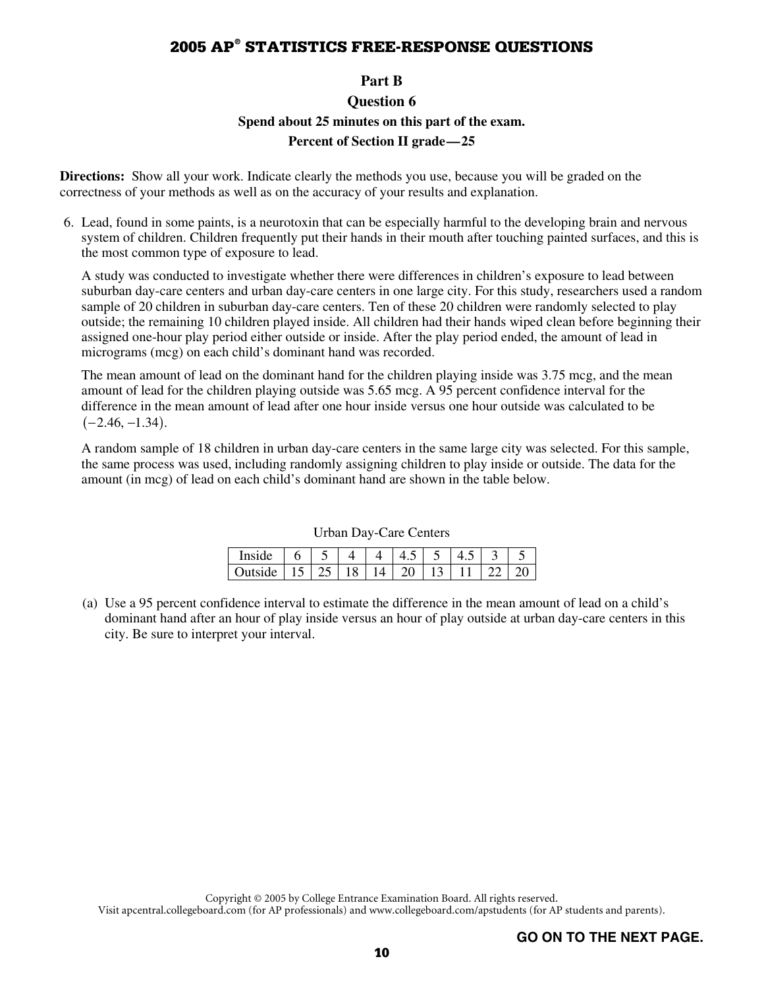### **Part B**

# **Question 6 Spend about 25 minutes on this part of the exam. Percent of Section II grade—25**

**Directions:** Show all your work. Indicate clearly the methods you use, because you will be graded on the correctness of your methods as well as on the accuracy of your results and explanation.

 6. Lead, found in some paints, is a neurotoxin that can be especially harmful to the developing brain and nervous system of children. Children frequently put their hands in their mouth after touching painted surfaces, and this is the most common type of exposure to lead.

 A study was conducted to investigate whether there were differences in children's exposure to lead between suburban day-care centers and urban day-care centers in one large city. For this study, researchers used a random sample of 20 children in suburban day-care centers. Ten of these 20 children were randomly selected to play outside; the remaining 10 children played inside. All children had their hands wiped clean before beginning their assigned one-hour play period either outside or inside. After the play period ended, the amount of lead in micrograms (mcg) on each child's dominant hand was recorded.

 The mean amount of lead on the dominant hand for the children playing inside was 3.75 mcg, and the mean amount of lead for the children playing outside was 5.65 mcg. A 95 percent confidence interval for the difference in the mean amount of lead after one hour inside versus one hour outside was calculated to be

 $(-2.46, -1.34)$ .<br>A random samp<br>the same proces<br>amount (in mcg A random sample of 18 children in urban day-care centers in the same large city was selected. For this sample, the same process was used, including randomly assigning children to play inside or outside. The data for the amount (in mcg) of lead on each child's dominant hand are shown in the table below.

|                                                 |  | $\mathbf{\Delta}$ | $\perp$ 45   5 |  |  |
|-------------------------------------------------|--|-------------------|----------------|--|--|
| Outside   15   25   18   14   20   13   11   22 |  |                   |                |  |  |

Urban Day-Care Centers

- Outside | 15 | 25 | 18 | 14 | 20 | 13 | 11 | 22 | 20
- (a) Use a 95 percent confidence interval to estimate the difference in the mean amount of lead on a child's dominant hand after an hour of play inside versus an hour of play outside at urban day-care centers in this city. Be sure to interpret your interval.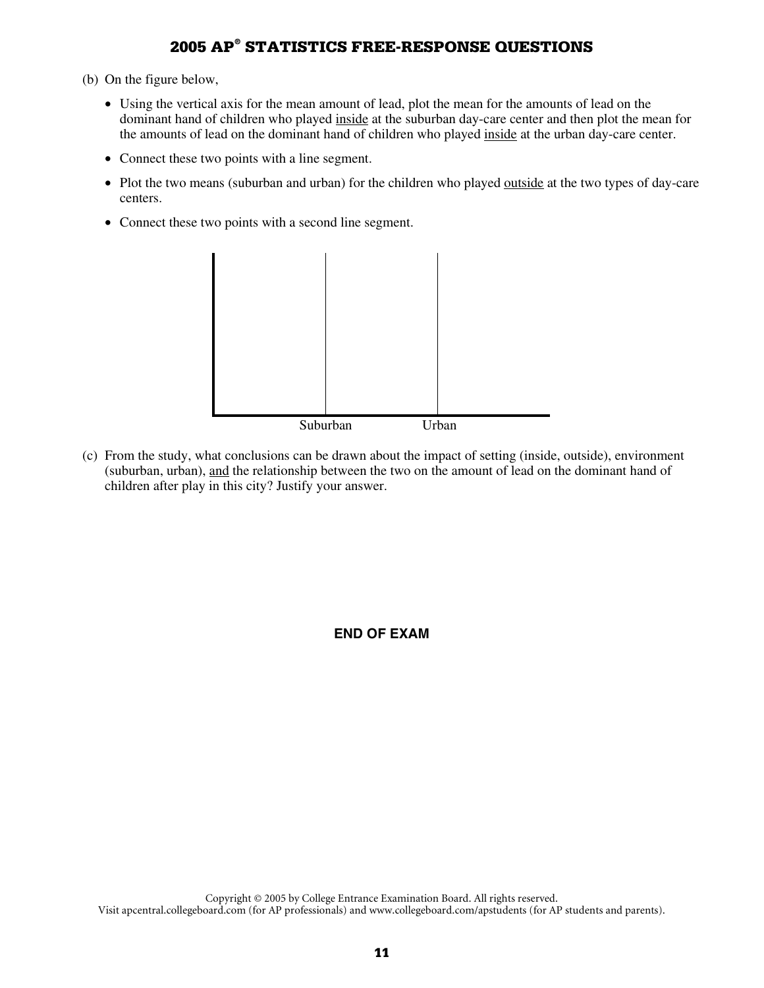- (b) On the figure below,
	- Using the vertical axis for the mean amount of lead, plot the mean for the amounts of lead on the dominant hand of children who played inside at the suburban day-care center and then plot the mean for the amounts of lead on the dominant hand of children who played inside at the urban day-care center.
	- Connect these two points with a line segment.
	- Plot the two means (suburban and urban) for the children who played <u>outside</u> at the two types of day-care centers.
	- Connect these two points with a second line segment.



(c) From the study, what conclusions can be drawn about the impact of setting (inside, outside), environment (suburban, urban), and the relationship between the two on the amount of lead on the dominant hand of children after play in this city? Justify your answer.

**END OF EXAM**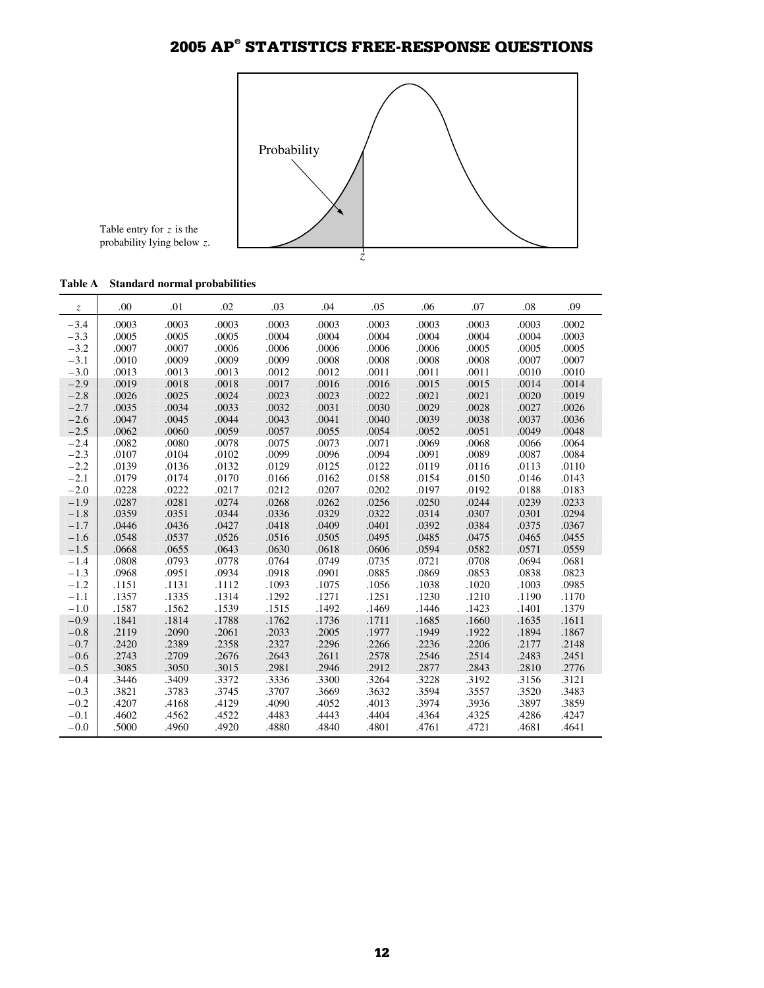

Table entry for *z* is the probability lying below *z*.

|  | Table A |  |  | <b>Standard normal probabilities</b> |
|--|---------|--|--|--------------------------------------|
|--|---------|--|--|--------------------------------------|

| $\ensuremath{\mathnormal{Z}}$ | .00   | .01   | .02   | .03   | .04   | .05   | .06   | .07   | .08   | .09   |
|-------------------------------|-------|-------|-------|-------|-------|-------|-------|-------|-------|-------|
| $-3.4$                        | .0003 | .0003 | .0003 | .0003 | .0003 | .0003 | .0003 | .0003 | .0003 | .0002 |
| $-3.3$                        | .0005 | .0005 | .0005 | .0004 | .0004 | .0004 | .0004 | .0004 | .0004 | .0003 |
| $-3.2$                        | .0007 | .0007 | .0006 | .0006 | .0006 | .0006 | .0006 | .0005 | .0005 | .0005 |
| $-3.1$                        | .0010 | .0009 | .0009 | .0009 | .0008 | .0008 | .0008 | .0008 | .0007 | .0007 |
| $-3.0$                        | .0013 | .0013 | .0013 | .0012 | .0012 | .0011 | .0011 | .0011 | .0010 | .0010 |
| $-2.9$                        | .0019 | .0018 | .0018 | .0017 | .0016 | .0016 | .0015 | .0015 | .0014 | .0014 |
| $-2.8$                        | .0026 | .0025 | .0024 | .0023 | .0023 | .0022 | .0021 | .0021 | .0020 | .0019 |
| $-2.7$                        | .0035 | .0034 | .0033 | .0032 | .0031 | .0030 | .0029 | .0028 | .0027 | .0026 |
| $-2.6$                        | .0047 | .0045 | .0044 | .0043 | .0041 | .0040 | .0039 | .0038 | .0037 | .0036 |
| $-2.5$                        | .0062 | .0060 | .0059 | .0057 | .0055 | .0054 | .0052 | .0051 | .0049 | .0048 |
| $-2.4$                        | .0082 | .0080 | .0078 | .0075 | .0073 | .0071 | .0069 | .0068 | .0066 | .0064 |
| $-2.3$                        | .0107 | .0104 | .0102 | .0099 | .0096 | .0094 | .0091 | .0089 | .0087 | .0084 |
| $-2.2$                        | .0139 | .0136 | .0132 | .0129 | .0125 | .0122 | .0119 | .0116 | .0113 | .0110 |
| $-2.1$                        | .0179 | .0174 | .0170 | .0166 | .0162 | .0158 | .0154 | .0150 | .0146 | .0143 |
| $-2.0$                        | .0228 | .0222 | .0217 | .0212 | .0207 | .0202 | .0197 | .0192 | .0188 | .0183 |
| $-1.9$                        | .0287 | .0281 | .0274 | .0268 | .0262 | .0256 | .0250 | .0244 | .0239 | .0233 |
| $-1.8$                        | .0359 | .0351 | .0344 | .0336 | .0329 | .0322 | .0314 | .0307 | .0301 | .0294 |
| $-1.7$                        | .0446 | .0436 | .0427 | .0418 | .0409 | .0401 | .0392 | .0384 | .0375 | .0367 |
| $-1.6$                        | .0548 | .0537 | .0526 | .0516 | .0505 | .0495 | .0485 | .0475 | .0465 | .0455 |
| $-1.5$                        | .0668 | .0655 | .0643 | .0630 | .0618 | .0606 | .0594 | .0582 | .0571 | .0559 |
| $-1.4$                        | .0808 | .0793 | .0778 | .0764 | .0749 | .0735 | .0721 | .0708 | .0694 | .0681 |
| $-1.3$                        | .0968 | .0951 | .0934 | .0918 | .0901 | .0885 | .0869 | .0853 | .0838 | .0823 |
| $-1.2$                        | .1151 | .1131 | .1112 | .1093 | .1075 | .1056 | .1038 | .1020 | .1003 | .0985 |
| $-1.1$                        | .1357 | .1335 | .1314 | .1292 | .1271 | .1251 | .1230 | .1210 | .1190 | .1170 |
| $-1.0$                        | .1587 | .1562 | .1539 | .1515 | .1492 | .1469 | .1446 | .1423 | .1401 | .1379 |
| $-0.9$                        | .1841 | .1814 | .1788 | .1762 | .1736 | .1711 | .1685 | .1660 | .1635 | .1611 |
| $-0.8$                        | .2119 | .2090 | .2061 | .2033 | .2005 | .1977 | .1949 | .1922 | .1894 | .1867 |
| $-0.7$                        | .2420 | .2389 | .2358 | .2327 | .2296 | .2266 | .2236 | .2206 | .2177 | .2148 |
| $-0.6$                        | .2743 | .2709 | .2676 | .2643 | .2611 | .2578 | .2546 | .2514 | .2483 | .2451 |
| $-0.5$                        | .3085 | .3050 | .3015 | .2981 | .2946 | .2912 | .2877 | .2843 | .2810 | .2776 |
| $-0.4$                        | .3446 | .3409 | .3372 | .3336 | .3300 | .3264 | .3228 | .3192 | .3156 | .3121 |
| $-0.3$                        | .3821 | .3783 | .3745 | .3707 | .3669 | .3632 | .3594 | .3557 | .3520 | .3483 |
| $-0.2$                        | .4207 | .4168 | .4129 | .4090 | .4052 | .4013 | .3974 | .3936 | .3897 | .3859 |
| $-0.1$                        | .4602 | .4562 | .4522 | .4483 | .4443 | .4404 | .4364 | .4325 | .4286 | .4247 |
| $-0.0$                        | .5000 | .4960 | .4920 | .4880 | .4840 | .4801 | .4761 | .4721 | .4681 | .4641 |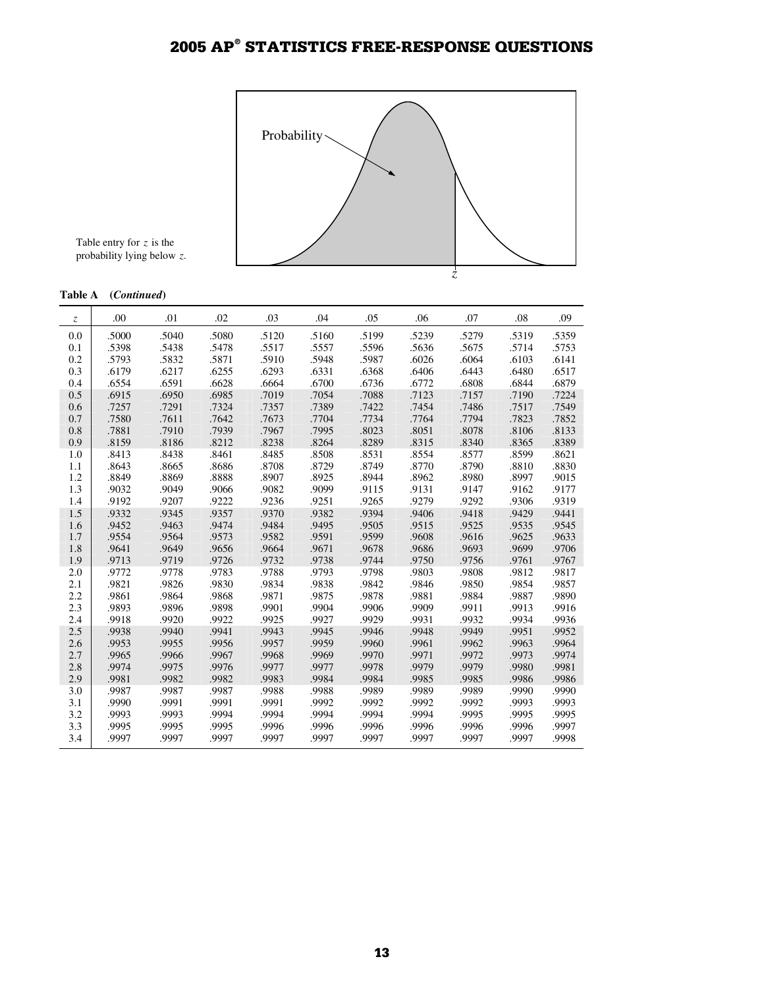

Table entry for *z* is the probability lying below *z*.

#### **Table A (***Continued***)**

| $\mathcal{Z}$ | .00   | .01   | .02   | .03   | .04   | .05   | .06   | .07   | .08   | .09   |
|---------------|-------|-------|-------|-------|-------|-------|-------|-------|-------|-------|
| 0.0           | .5000 | .5040 | .5080 | .5120 | .5160 | .5199 | .5239 | .5279 | .5319 | .5359 |
| 0.1           | .5398 | .5438 | .5478 | .5517 | .5557 | .5596 | .5636 | .5675 | .5714 | .5753 |
| 0.2           | .5793 | .5832 | .5871 | .5910 | .5948 | .5987 | .6026 | .6064 | .6103 | .6141 |
| 0.3           | .6179 | .6217 | .6255 | .6293 | .6331 | .6368 | .6406 | .6443 | .6480 | .6517 |
| 0.4           | .6554 | .6591 | .6628 | .6664 | .6700 | .6736 | .6772 | .6808 | .6844 | .6879 |
| 0.5           | .6915 | .6950 | .6985 | .7019 | .7054 | .7088 | .7123 | .7157 | .7190 | .7224 |
| 0.6           | .7257 | .7291 | .7324 | .7357 | .7389 | .7422 | .7454 | .7486 | .7517 | .7549 |
| 0.7           | .7580 | .7611 | .7642 | .7673 | .7704 | .7734 | .7764 | .7794 | .7823 | .7852 |
| 0.8           | .7881 | .7910 | .7939 | .7967 | .7995 | .8023 | .8051 | .8078 | .8106 | .8133 |
| 0.9           | .8159 | .8186 | .8212 | .8238 | .8264 | .8289 | .8315 | .8340 | .8365 | .8389 |
| 1.0           | .8413 | .8438 | .8461 | .8485 | .8508 | .8531 | .8554 | .8577 | .8599 | .8621 |
| 1.1           | .8643 | .8665 | .8686 | .8708 | .8729 | .8749 | .8770 | .8790 | .8810 | .8830 |
| 1.2           | .8849 | .8869 | .8888 | .8907 | .8925 | .8944 | .8962 | .8980 | .8997 | .9015 |
| 1.3           | .9032 | .9049 | .9066 | .9082 | .9099 | .9115 | .9131 | .9147 | .9162 | .9177 |
| 1.4           | .9192 | .9207 | .9222 | .9236 | .9251 | .9265 | .9279 | .9292 | .9306 | .9319 |
| 1.5           | .9332 | .9345 | .9357 | .9370 | .9382 | .9394 | .9406 | .9418 | .9429 | .9441 |
| 1.6           | .9452 | .9463 | .9474 | .9484 | .9495 | .9505 | .9515 | .9525 | .9535 | .9545 |
| 1.7           | .9554 | .9564 | .9573 | .9582 | .9591 | .9599 | .9608 | .9616 | .9625 | .9633 |
| 1.8           | .9641 | .9649 | .9656 | .9664 | .9671 | .9678 | .9686 | .9693 | .9699 | .9706 |
| 1.9           | .9713 | .9719 | .9726 | .9732 | .9738 | .9744 | .9750 | .9756 | .9761 | .9767 |
| 2.0           | .9772 | .9778 | .9783 | .9788 | .9793 | .9798 | .9803 | .9808 | .9812 | .9817 |
| 2.1           | .9821 | .9826 | .9830 | .9834 | .9838 | .9842 | .9846 | .9850 | .9854 | .9857 |
| 2.2           | .9861 | .9864 | .9868 | .9871 | .9875 | .9878 | .9881 | .9884 | .9887 | .9890 |
| 2.3           | .9893 | .9896 | .9898 | .9901 | .9904 | .9906 | .9909 | .9911 | .9913 | .9916 |
| 2.4           | .9918 | .9920 | .9922 | .9925 | .9927 | .9929 | .9931 | .9932 | .9934 | .9936 |
| 2.5           | .9938 | .9940 | .9941 | .9943 | .9945 | .9946 | .9948 | .9949 | .9951 | .9952 |
| 2.6           | .9953 | .9955 | .9956 | .9957 | .9959 | .9960 | .9961 | .9962 | .9963 | .9964 |
| 2.7           | .9965 | .9966 | .9967 | .9968 | .9969 | .9970 | .9971 | .9972 | .9973 | .9974 |
| 2.8           | .9974 | .9975 | .9976 | .9977 | .9977 | .9978 | .9979 | .9979 | .9980 | .9981 |
| 2.9           | .9981 | .9982 | .9982 | .9983 | .9984 | .9984 | .9985 | .9985 | .9986 | .9986 |
| 3.0           | .9987 | .9987 | .9987 | .9988 | .9988 | .9989 | .9989 | .9989 | .9990 | .9990 |
| 3.1           | .9990 | .9991 | .9991 | .9991 | .9992 | .9992 | .9992 | .9992 | .9993 | .9993 |
| 3.2           | .9993 | .9993 | .9994 | .9994 | .9994 | .9994 | .9994 | .9995 | .9995 | .9995 |
| 3.3           | .9995 | .9995 | .9995 | .9996 | .9996 | .9996 | .9996 | .9996 | .9996 | .9997 |
| 3.4           | .9997 | .9997 | .9997 | .9997 | .9997 | .9997 | .9997 | .9997 | .9997 | .9998 |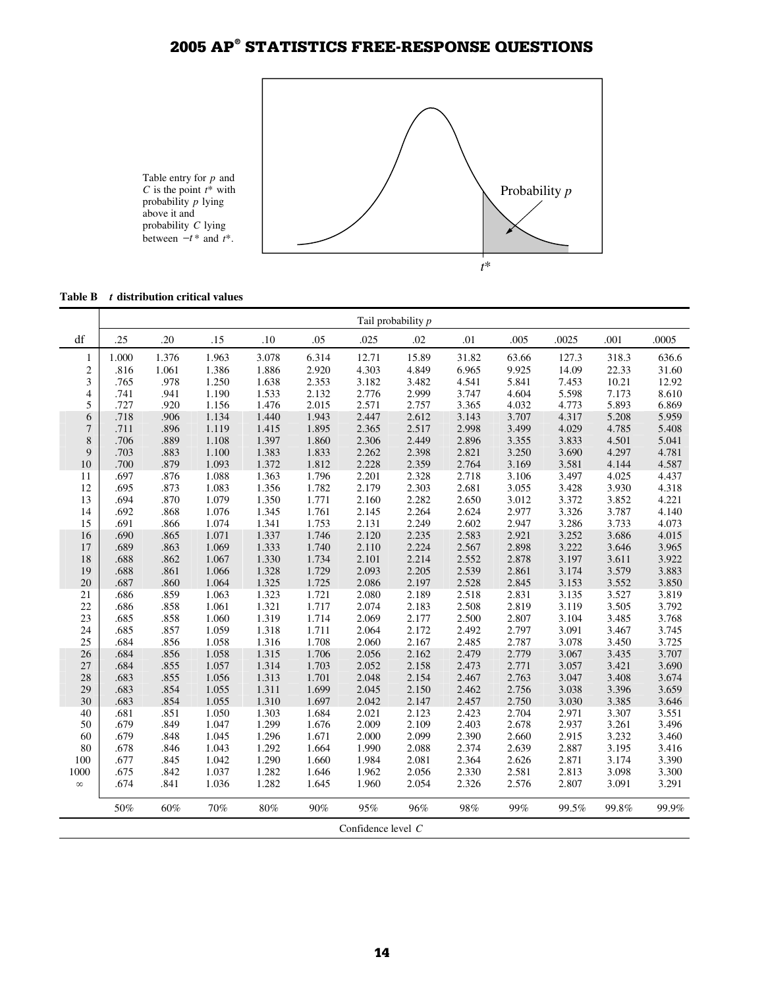

**Table B** *t* **distribution critical values**

|                | Tail probability p |              |                |                |                |                      |                |                |                |                |                |                |
|----------------|--------------------|--------------|----------------|----------------|----------------|----------------------|----------------|----------------|----------------|----------------|----------------|----------------|
| df             | .25                | .20          | .15            | .10            | .05            | .025                 | .02            | .01            | .005           | .0025          | .001           | .0005          |
| 1              | 1.000              | 1.376        | 1.963          | 3.078          | 6.314          | 12.71                | 15.89          | 31.82          | 63.66          | 127.3          | 318.3          | 636.6          |
| $\sqrt{2}$     | .816               | 1.061        | 1.386          | 1.886          | 2.920          | 4.303                | 4.849          | 6.965          | 9.925          | 14.09          | 22.33          | 31.60          |
| 3              | .765               | .978         | 1.250          | 1.638          | 2.353          | 3.182                | 3.482          | 4.541          | 5.841          | 7.453          | 10.21          | 12.92          |
| $\overline{4}$ | .741               | .941         | 1.190          | 1.533          | 2.132          | 2.776                | 2.999          | 3.747          | 4.604          | 5.598          | 7.173          | 8.610          |
| 5              | .727               | .920         | 1.156          | 1.476          | 2.015          | 2.571                | 2.757          | 3.365          | 4.032          | 4.773          | 5.893          | 6.869          |
| 6              | .718               | .906         | 1.134          | 1.440          | 1.943          | 2.447                | 2.612          | 3.143          | 3.707          | 4.317          | 5.208          | 5.959          |
| $\overline{7}$ | .711               | .896         | 1.119          | 1.415          | 1.895          | 2.365                | 2.517          | 2.998          | 3.499          | 4.029          | 4.785          | 5.408          |
| $\,$ 8 $\,$    | .706               | .889         | 1.108          | 1.397          | 1.860          | 2.306                | 2.449          | 2.896          | 3.355          | 3.833          | 4.501          | 5.041          |
| 9              | .703               | .883         | 1.100          | 1.383          | 1.833          | 2.262                | 2.398          | 2.821          | 3.250          | 3.690          | 4.297          | 4.781          |
| 10             | .700               | .879         | 1.093          | 1.372          | 1.812          | 2.228                | 2.359          | 2.764          | 3.169          | 3.581          | 4.144          | 4.587          |
| 11             | .697               | .876         | 1.088          | 1.363          | 1.796          | 2.201                | 2.328          | 2.718          | 3.106          | 3.497          | 4.025          | 4.437          |
| 12             | .695               | .873         | 1.083          | 1.356          | 1.782          | 2.179                | 2.303          | 2.681          | 3.055          | 3.428          | 3.930          | 4.318          |
| 13             | .694               | .870         | 1.079          | 1.350          | 1.771          | 2.160                | 2.282          | 2.650          | 3.012          | 3.372          | 3.852          | 4.221          |
| 14             | .692               | .868         | 1.076          | 1.345          | 1.761          | 2.145                | 2.264          | 2.624          | 2.977          | 3.326          | 3.787          | 4.140          |
| 15             | .691               | .866         | 1.074          | 1.341          | 1.753          | 2.131                | 2.249          | 2.602          | 2.947          | 3.286          | 3.733          | 4.073          |
| 16             | .690               | .865         | 1.071          | 1.337          | 1.746          | 2.120                | 2.235          | 2.583          | 2.921          | 3.252          | 3.686          | 4.015          |
| 17             | .689               | .863         | 1.069          | 1.333          | 1.740          | 2.110                | 2.224          | 2.567          | 2.898          | 3.222          | 3.646          | 3.965          |
| 18             | .688               | .862         | 1.067          | 1.330          | 1.734          | 2.101                | 2.214          | 2.552          | 2.878          | 3.197          | 3.611          | 3.922          |
| 19             | .688               | .861         | 1.066          | 1.328          | 1.729          | 2.093                | 2.205          | 2.539          | 2.861          | 3.174          | 3.579          | 3.883          |
| 20             | .687               | .860         | 1.064          | 1.325          | 1.725          | 2.086                | 2.197          | 2.528          | 2.845          | 3.153          | 3.552          | 3.850          |
| 21             | .686               | .859         | 1.063          | 1.323          | 1.721          | 2.080                | 2.189          | 2.518          | 2.831          | 3.135          | 3.527          | 3.819          |
| 22             | .686               | .858         | 1.061          | 1.321          | 1.717          | 2.074                | 2.183          | 2.508          | 2.819          | 3.119          | 3.505          | 3.792          |
| 23             | .685               | .858         | 1.060          | 1.319          | 1.714          | 2.069                | 2.177          | 2.500          | 2.807          | 3.104          | 3.485          | 3.768          |
| 24             | .685               | .857         | 1.059          | 1.318          | 1.711          | 2.064                | 2.172          | 2.492          | 2.797          | 3.091          | 3.467          | 3.745          |
| 25             | .684               | .856         | 1.058          | 1.316          | 1.708          | 2.060                | 2.167          | 2.485          | 2.787          | 3.078          | 3.450          | 3.725          |
| 26             | .684               | .856         | 1.058          | 1.315          | 1.706          | 2.056                | 2.162          | 2.479          | 2.779          | 3.067          | 3.435          | 3.707          |
| 27             | .684               | .855         | 1.057          | 1.314          | 1.703          | 2.052                | 2.158          | 2.473          | 2.771          | 3.057          | 3.421          | 3.690          |
| 28<br>29       | .683<br>.683       | .855<br>.854 | 1.056          | 1.313          | 1.701<br>1.699 | 2.048<br>2.045       | 2.154<br>2.150 | 2.467<br>2.462 | 2.763<br>2.756 | 3.047          | 3.408          | 3.674          |
| 30             | .683               | .854         | 1.055<br>1.055 | 1.311<br>1.310 | 1.697          |                      |                |                | 2.750          | 3.038<br>3.030 | 3.396<br>3.385 | 3.659<br>3.646 |
| 40             | .681               | .851         | 1.050          | 1.303          | 1.684          | 2.042<br>2.021       | 2.147<br>2.123 | 2.457<br>2.423 | 2.704          | 2.971          | 3.307          | 3.551          |
| 50             | .679               | .849         | 1.047          | 1.299          | 1.676          | 2.009                | 2.109          | 2.403          | 2.678          | 2.937          | 3.261          | 3.496          |
| 60             | .679               | .848         | 1.045          | 1.296          | 1.671          | 2.000                | 2.099          | 2.390          | 2.660          | 2.915          | 3.232          | 3.460          |
| 80             | .678               | .846         | 1.043          | 1.292          | 1.664          | 1.990                | 2.088          | 2.374          | 2.639          | 2.887          | 3.195          | 3.416          |
| 100            | .677               | .845         | 1.042          | 1.290          | 1.660          | 1.984                | 2.081          | 2.364          | 2.626          | 2.871          | 3.174          | 3.390          |
| 1000           | .675               | .842         | 1.037          | 1.282          | 1.646          | 1.962                | 2.056          | 2.330          | 2.581          | 2.813          | 3.098          | 3.300          |
| $\infty$       | .674               | .841         | 1.036          | 1.282          | 1.645          | 1.960                | 2.054          | 2.326          | 2.576          | 2.807          | 3.091          | 3.291          |
|                |                    |              |                |                |                |                      |                |                |                |                |                |                |
|                | 50%                | 60%          | 70%            | 80%            | 90%            | 95%                  | 96%            | 98%            | 99%            | 99.5%          | 99.8%          | 99.9%          |
|                |                    |              |                |                |                | Confidence level $C$ |                |                |                |                |                |                |